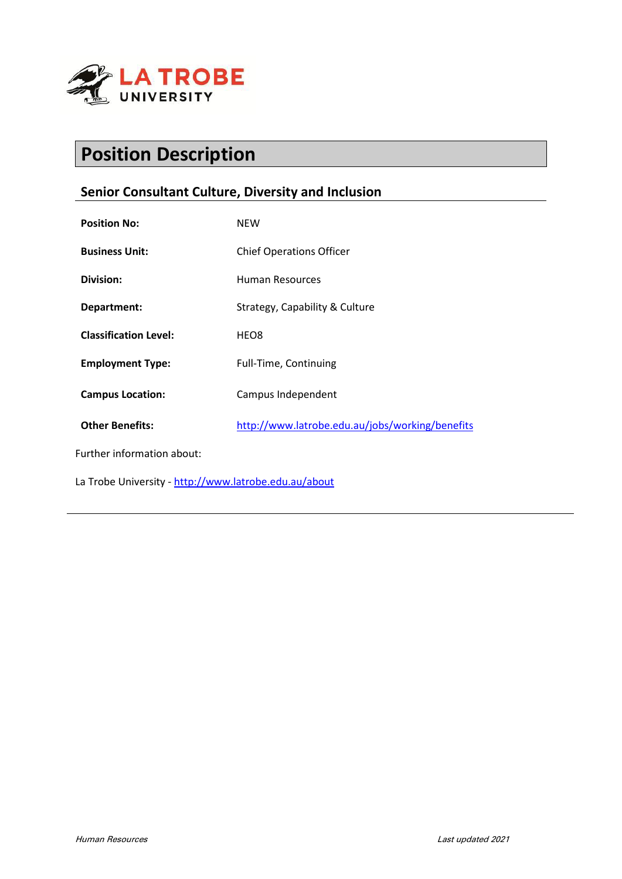

# **Position Description**

# **Senior Consultant Culture, Diversity and Inclusion**

| <b>Position No:</b>                                   | <b>NEW</b>                                      |
|-------------------------------------------------------|-------------------------------------------------|
| <b>Business Unit:</b>                                 | <b>Chief Operations Officer</b>                 |
| Division:                                             | Human Resources                                 |
| Department:                                           | Strategy, Capability & Culture                  |
| <b>Classification Level:</b>                          | HEO8                                            |
| <b>Employment Type:</b>                               | Full-Time, Continuing                           |
| <b>Campus Location:</b>                               | Campus Independent                              |
| <b>Other Benefits:</b>                                | http://www.latrobe.edu.au/jobs/working/benefits |
| Further information about:                            |                                                 |
| La Trobe University - http://www.latrobe.edu.au/about |                                                 |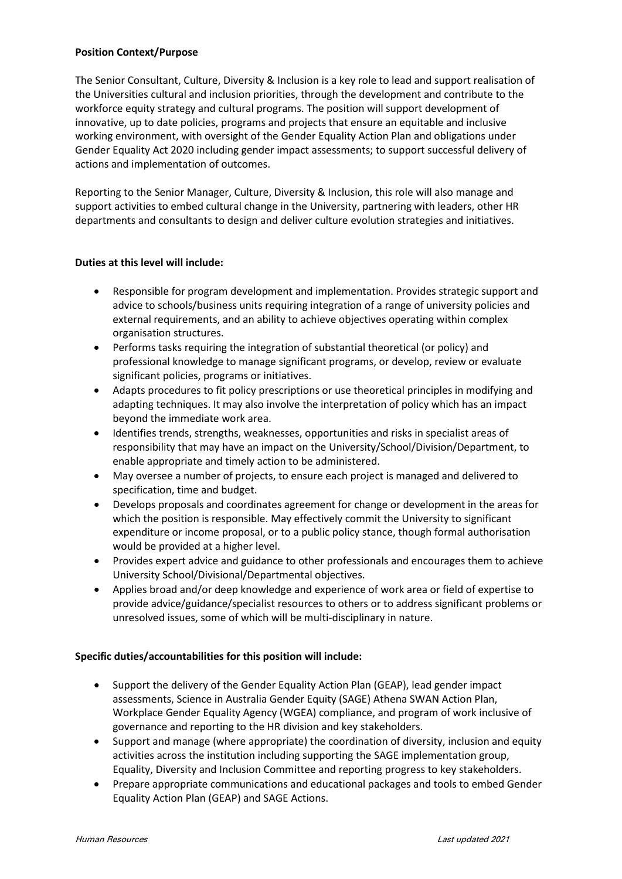## **Position Context/Purpose**

The Senior Consultant, Culture, Diversity & Inclusion is a key role to lead and support realisation of the Universities cultural and inclusion priorities, through the development and contribute to the workforce equity strategy and cultural programs. The position will support development of innovative, up to date policies, programs and projects that ensure an equitable and inclusive working environment, with oversight of the Gender Equality Action Plan and obligations under Gender Equality Act 2020 including gender impact assessments; to support successful delivery of actions and implementation of outcomes.

Reporting to the Senior Manager, Culture, Diversity & Inclusion, this role will also manage and support activities to embed cultural change in the University, partnering with leaders, other HR departments and consultants to design and deliver culture evolution strategies and initiatives.

# **Duties at this level will include:**

- Responsible for program development and implementation. Provides strategic support and advice to schools/business units requiring integration of a range of university policies and external requirements, and an ability to achieve objectives operating within complex organisation structures.
- Performs tasks requiring the integration of substantial theoretical (or policy) and professional knowledge to manage significant programs, or develop, review or evaluate significant policies, programs or initiatives.
- Adapts procedures to fit policy prescriptions or use theoretical principles in modifying and adapting techniques. It may also involve the interpretation of policy which has an impact beyond the immediate work area.
- Identifies trends, strengths, weaknesses, opportunities and risks in specialist areas of responsibility that may have an impact on the University/School/Division/Department, to enable appropriate and timely action to be administered.
- May oversee a number of projects, to ensure each project is managed and delivered to specification, time and budget.
- Develops proposals and coordinates agreement for change or development in the areas for which the position is responsible. May effectively commit the University to significant expenditure or income proposal, or to a public policy stance, though formal authorisation would be provided at a higher level.
- Provides expert advice and guidance to other professionals and encourages them to achieve University School/Divisional/Departmental objectives.
- Applies broad and/or deep knowledge and experience of work area or field of expertise to provide advice/guidance/specialist resources to others or to address significant problems or unresolved issues, some of which will be multi-disciplinary in nature.

# **Specific duties/accountabilities for this position will include:**

- Support the delivery of the Gender Equality Action Plan (GEAP), lead gender impact assessments, Science in Australia Gender Equity (SAGE) Athena SWAN Action Plan, Workplace Gender Equality Agency (WGEA) compliance, and program of work inclusive of governance and reporting to the HR division and key stakeholders.
- Support and manage (where appropriate) the coordination of diversity, inclusion and equity activities across the institution including supporting the SAGE implementation group, Equality, Diversity and Inclusion Committee and reporting progress to key stakeholders.
- Prepare appropriate communications and educational packages and tools to embed Gender Equality Action Plan (GEAP) and SAGE Actions.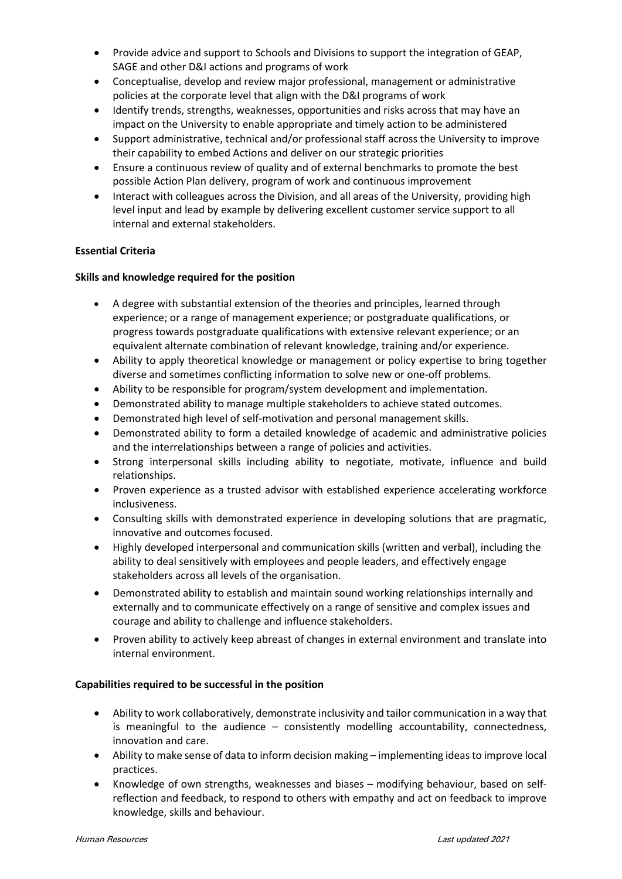- Provide advice and support to Schools and Divisions to support the integration of GEAP, SAGE and other D&I actions and programs of work
- Conceptualise, develop and review major professional, management or administrative policies at the corporate level that align with the D&I programs of work
- Identify trends, strengths, weaknesses, opportunities and risks across that may have an impact on the University to enable appropriate and timely action to be administered
- Support administrative, technical and/or professional staff across the University to improve their capability to embed Actions and deliver on our strategic priorities
- Ensure a continuous review of quality and of external benchmarks to promote the best possible Action Plan delivery, program of work and continuous improvement
- Interact with colleagues across the Division, and all areas of the University, providing high level input and lead by example by delivering excellent customer service support to all internal and external stakeholders.

# **Essential Criteria**

# **Skills and knowledge required for the position**

- A degree with substantial extension of the theories and principles, learned through experience; or a range of management experience; or postgraduate qualifications, or progress towards postgraduate qualifications with extensive relevant experience; or an equivalent alternate combination of relevant knowledge, training and/or experience.
- Ability to apply theoretical knowledge or management or policy expertise to bring together diverse and sometimes conflicting information to solve new or one-off problems.
- Ability to be responsible for program/system development and implementation.
- Demonstrated ability to manage multiple stakeholders to achieve stated outcomes.
- Demonstrated high level of self-motivation and personal management skills.
- Demonstrated ability to form a detailed knowledge of academic and administrative policies and the interrelationships between a range of policies and activities.
- Strong interpersonal skills including ability to negotiate, motivate, influence and build relationships.
- Proven experience as a trusted advisor with established experience accelerating workforce inclusiveness.
- Consulting skills with demonstrated experience in developing solutions that are pragmatic, innovative and outcomes focused.
- Highly developed interpersonal and communication skills (written and verbal), including the ability to deal sensitively with employees and people leaders, and effectively engage stakeholders across all levels of the organisation.
- Demonstrated ability to establish and maintain sound working relationships internally and externally and to communicate effectively on a range of sensitive and complex issues and courage and ability to challenge and influence stakeholders.
- Proven ability to actively keep abreast of changes in external environment and translate into internal environment.

# **Capabilities required to be successful in the position**

- Ability to work collaboratively, demonstrate inclusivity and tailor communication in a way that is meaningful to the audience – consistently modelling accountability, connectedness, innovation and care.
- Ability to make sense of data to inform decision making implementing ideas to improve local practices.
- Knowledge of own strengths, weaknesses and biases modifying behaviour, based on selfreflection and feedback, to respond to others with empathy and act on feedback to improve knowledge, skills and behaviour.